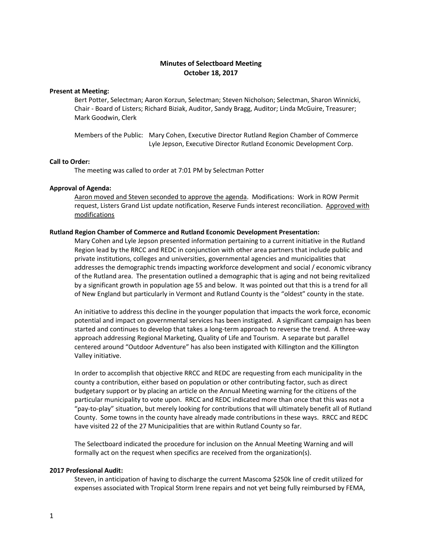# **Minutes of Selectboard Meeting October 18, 2017**

# **Present at Meeting:**

Bert Potter, Selectman; Aaron Korzun, Selectman; Steven Nicholson; Selectman, Sharon Winnicki, Chair - Board of Listers; Richard Biziak, Auditor, Sandy Bragg, Auditor; Linda McGuire, Treasurer; Mark Goodwin, Clerk

Members of the Public: Mary Cohen, Executive Director Rutland Region Chamber of Commerce Lyle Jepson, Executive Director Rutland Economic Development Corp.

#### **Call to Order:**

The meeting was called to order at 7:01 PM by Selectman Potter

#### **Approval of Agenda:**

Aaron moved and Steven seconded to approve the agenda. Modifications: Work in ROW Permit request, Listers Grand List update notification, Reserve Funds interest reconciliation. Approved with modifications

#### **Rutland Region Chamber of Commerce and Rutland Economic Development Presentation:**

Mary Cohen and Lyle Jepson presented information pertaining to a current initiative in the Rutland Region lead by the RRCC and REDC in conjunction with other area partners that include public and private institutions, colleges and universities, governmental agencies and municipalities that addresses the demographic trends impacting workforce development and social / economic vibrancy of the Rutland area. The presentation outlined a demographic that is aging and not being revitalized by a significant growth in population age 55 and below. It was pointed out that this is a trend for all of New England but particularly in Vermont and Rutland County is the "oldest" county in the state.

An initiative to address this decline in the younger population that impacts the work force, economic potential and impact on governmental services has been instigated. A significant campaign has been started and continues to develop that takes a long-term approach to reverse the trend. A three-way approach addressing Regional Marketing, Quality of Life and Tourism. A separate but parallel centered around "Outdoor Adventure" has also been instigated with Killington and the Killington Valley initiative.

In order to accomplish that objective RRCC and REDC are requesting from each municipality in the county a contribution, either based on population or other contributing factor, such as direct budgetary support or by placing an article on the Annual Meeting warning for the citizens of the particular municipality to vote upon. RRCC and REDC indicated more than once that this was not a "pay-to-play" situation, but merely looking for contributions that will ultimately benefit all of Rutland County. Some towns in the county have already made contributions in these ways. RRCC and REDC have visited 22 of the 27 Municipalities that are within Rutland County so far.

The Selectboard indicated the procedure for inclusion on the Annual Meeting Warning and will formally act on the request when specifics are received from the organization(s).

# **2017 Professional Audit:**

Steven, in anticipation of having to discharge the current Mascoma \$250k line of credit utilized for expenses associated with Tropical Storm Irene repairs and not yet being fully reimbursed by FEMA,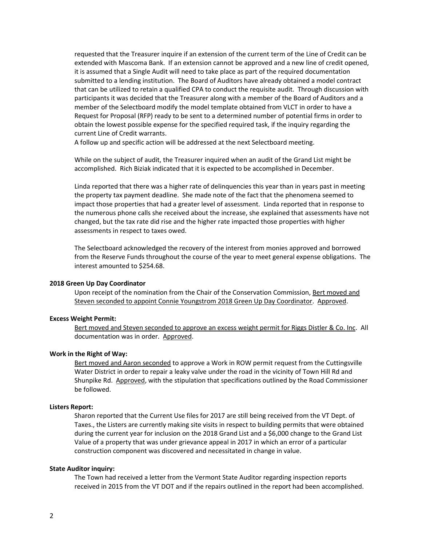requested that the Treasurer inquire if an extension of the current term of the Line of Credit can be extended with Mascoma Bank. If an extension cannot be approved and a new line of credit opened, it is assumed that a Single Audit will need to take place as part of the required documentation submitted to a lending institution. The Board of Auditors have already obtained a model contract that can be utilized to retain a qualified CPA to conduct the requisite audit. Through discussion with participants it was decided that the Treasurer along with a member of the Board of Auditors and a member of the Selectboard modify the model template obtained from VLCT in order to have a Request for Proposal (RFP) ready to be sent to a determined number of potential firms in order to obtain the lowest possible expense for the specified required task, if the inquiry regarding the current Line of Credit warrants.

A follow up and specific action will be addressed at the next Selectboard meeting.

While on the subject of audit, the Treasurer inquired when an audit of the Grand List might be accomplished. Rich Biziak indicated that it is expected to be accomplished in December.

Linda reported that there was a higher rate of delinquencies this year than in years past in meeting the property tax payment deadline. She made note of the fact that the phenomena seemed to impact those properties that had a greater level of assessment. Linda reported that in response to the numerous phone calls she received about the increase, she explained that assessments have not changed, but the tax rate did rise and the higher rate impacted those properties with higher assessments in respect to taxes owed.

The Selectboard acknowledged the recovery of the interest from monies approved and borrowed from the Reserve Funds throughout the course of the year to meet general expense obligations. The interest amounted to \$254.68.

# **2018 Green Up Day Coordinator**

Upon receipt of the nomination from the Chair of the Conservation Commission, Bert moved and Steven seconded to appoint Connie Youngstrom 2018 Green Up Day Coordinator. Approved.

#### **Excess Weight Permit:**

Bert moved and Steven seconded to approve an excess weight permit for Riggs Distler & Co. Inc. All documentation was in order. Approved.

#### **Work in the Right of Way:**

Bert moved and Aaron seconded to approve a Work in ROW permit request from the Cuttingsville Water District in order to repair a leaky valve under the road in the vicinity of Town Hill Rd and Shunpike Rd. Approved, with the stipulation that specifications outlined by the Road Commissioner be followed.

#### **Listers Report:**

Sharon reported that the Current Use files for 2017 are still being received from the VT Dept. of Taxes., the Listers are currently making site visits in respect to building permits that were obtained during the current year for inclusion on the 2018 Grand List and a \$6,000 change to the Grand List Value of a property that was under grievance appeal in 2017 in which an error of a particular construction component was discovered and necessitated in change in value.

# **State Auditor inquiry:**

The Town had received a letter from the Vermont State Auditor regarding inspection reports received in 2015 from the VT DOT and if the repairs outlined in the report had been accomplished.